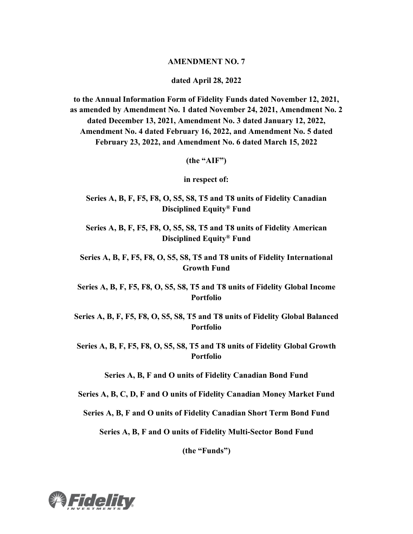#### **AMENDMENT NO. 7**

**dated April 28, 2022**

**to the Annual Information Form of Fidelity Funds dated November 12, 2021, as amended by Amendment No. 1 dated November 24, 2021, Amendment No. 2 dated December 13, 2021, Amendment No. 3 dated January 12, 2022, Amendment No. 4 dated February 16, 2022, and Amendment No. 5 dated February 23, 2022, and Amendment No. 6 dated March 15, 2022**

**(the "AIF")**

**in respect of:**

**Series A, B, F, F5, F8, O, S5, S8, T5 and T8 units of Fidelity Canadian Disciplined Equity® Fund**

**Series A, B, F, F5, F8, O, S5, S8, T5 and T8 units of Fidelity American Disciplined Equity® Fund**

**Series A, B, F, F5, F8, O, S5, S8, T5 and T8 units of Fidelity International Growth Fund**

**Series A, B, F, F5, F8, O, S5, S8, T5 and T8 units of Fidelity Global Income Portfolio**

**Series A, B, F, F5, F8, O, S5, S8, T5 and T8 units of Fidelity Global Balanced Portfolio**

**Series A, B, F, F5, F8, O, S5, S8, T5 and T8 units of Fidelity Global Growth Portfolio**

**Series A, B, F and O units of Fidelity Canadian Bond Fund**

**Series A, B, C, D, F and O units of Fidelity Canadian Money Market Fund**

**Series A, B, F and O units of Fidelity Canadian Short Term Bond Fund**

**Series A, B, F and O units of Fidelity Multi-Sector Bond Fund**

**(the "Funds")**

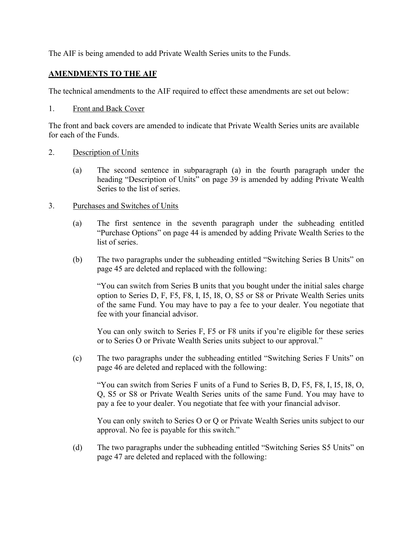The AIF is being amended to add Private Wealth Series units to the Funds.

# **AMENDMENTS TO THE AIF**

The technical amendments to the AIF required to effect these amendments are set out below:

1. Front and Back Cover

The front and back covers are amended to indicate that Private Wealth Series units are available for each of the Funds.

## 2. Description of Units

(a) The second sentence in subparagraph (a) in the fourth paragraph under the heading "Description of Units" on page 39 is amended by adding Private Wealth Series to the list of series.

## 3. Purchases and Switches of Units

- (a) The first sentence in the seventh paragraph under the subheading entitled "Purchase Options" on page 44 is amended by adding Private Wealth Series to the list of series.
- (b) The two paragraphs under the subheading entitled "Switching Series B Units" on page 45 are deleted and replaced with the following:

"You can switch from Series B units that you bought under the initial sales charge option to Series D, F, F5, F8, I, I5, I8, O, S5 or S8 or Private Wealth Series units of the same Fund. You may have to pay a fee to your dealer. You negotiate that fee with your financial advisor.

You can only switch to Series F, F5 or F8 units if you're eligible for these series or to Series O or Private Wealth Series units subject to our approval."

(c) The two paragraphs under the subheading entitled "Switching Series F Units" on page 46 are deleted and replaced with the following:

"You can switch from Series F units of a Fund to Series B, D, F5, F8, I, I5, I8, O, Q, S5 or S8 or Private Wealth Series units of the same Fund. You may have to pay a fee to your dealer. You negotiate that fee with your financial advisor.

You can only switch to Series O or Q or Private Wealth Series units subject to our approval. No fee is payable for this switch."

(d) The two paragraphs under the subheading entitled "Switching Series S5 Units" on page 47 are deleted and replaced with the following: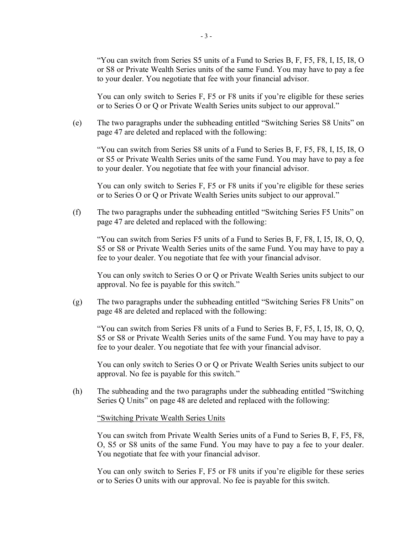"You can switch from Series S5 units of a Fund to Series B, F, F5, F8, I, I5, I8, O or S8 or Private Wealth Series units of the same Fund. You may have to pay a fee to your dealer. You negotiate that fee with your financial advisor.

You can only switch to Series F, F5 or F8 units if you're eligible for these series or to Series O or Q or Private Wealth Series units subject to our approval."

(e) The two paragraphs under the subheading entitled "Switching Series S8 Units" on page 47 are deleted and replaced with the following:

"You can switch from Series S8 units of a Fund to Series B, F, F5, F8, I, I5, I8, O or S5 or Private Wealth Series units of the same Fund. You may have to pay a fee to your dealer. You negotiate that fee with your financial advisor.

You can only switch to Series F, F5 or F8 units if you're eligible for these series or to Series O or Q or Private Wealth Series units subject to our approval."

(f) The two paragraphs under the subheading entitled "Switching Series F5 Units" on page 47 are deleted and replaced with the following:

"You can switch from Series F5 units of a Fund to Series B, F, F8, I, I5, I8, O, Q, S5 or S8 or Private Wealth Series units of the same Fund. You may have to pay a fee to your dealer. You negotiate that fee with your financial advisor.

You can only switch to Series O or Q or Private Wealth Series units subject to our approval. No fee is payable for this switch."

(g) The two paragraphs under the subheading entitled "Switching Series F8 Units" on page 48 are deleted and replaced with the following:

"You can switch from Series F8 units of a Fund to Series B, F, F5, I, I5, I8, O, Q, S5 or S8 or Private Wealth Series units of the same Fund. You may have to pay a fee to your dealer. You negotiate that fee with your financial advisor.

You can only switch to Series O or Q or Private Wealth Series units subject to our approval. No fee is payable for this switch."

(h) The subheading and the two paragraphs under the subheading entitled "Switching Series Q Units" on page 48 are deleted and replaced with the following:

#### "Switching Private Wealth Series Units

You can switch from Private Wealth Series units of a Fund to Series B, F, F5, F8, O, S5 or S8 units of the same Fund. You may have to pay a fee to your dealer. You negotiate that fee with your financial advisor.

You can only switch to Series F, F5 or F8 units if you're eligible for these series or to Series O units with our approval. No fee is payable for this switch.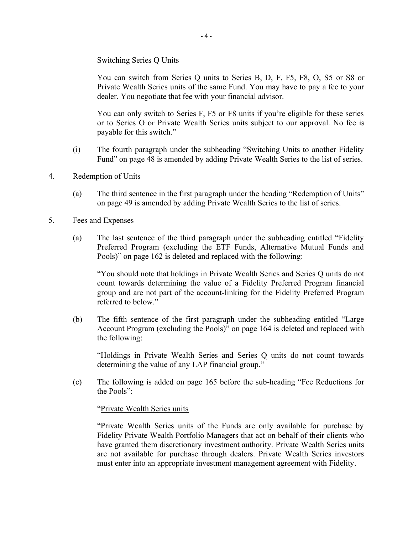## Switching Series Q Units

You can switch from Series Q units to Series B, D, F, F5, F8, O, S5 or S8 or Private Wealth Series units of the same Fund. You may have to pay a fee to your dealer. You negotiate that fee with your financial advisor.

You can only switch to Series F, F5 or F8 units if you're eligible for these series or to Series O or Private Wealth Series units subject to our approval. No fee is payable for this switch."

- (i) The fourth paragraph under the subheading "Switching Units to another Fidelity Fund" on page 48 is amended by adding Private Wealth Series to the list of series.
- 4. Redemption of Units
	- (a) The third sentence in the first paragraph under the heading "Redemption of Units" on page 49 is amended by adding Private Wealth Series to the list of series.
- 5. Fees and Expenses
	- (a) The last sentence of the third paragraph under the subheading entitled "Fidelity Preferred Program (excluding the ETF Funds, Alternative Mutual Funds and Pools)" on page 162 is deleted and replaced with the following:

"You should note that holdings in Private Wealth Series and Series Q units do not count towards determining the value of a Fidelity Preferred Program financial group and are not part of the account-linking for the Fidelity Preferred Program referred to below."

(b) The fifth sentence of the first paragraph under the subheading entitled "Large Account Program (excluding the Pools)" on page 164 is deleted and replaced with the following:

"Holdings in Private Wealth Series and Series Q units do not count towards determining the value of any LAP financial group."

(c) The following is added on page 165 before the sub-heading "Fee Reductions for the Pools":

#### "Private Wealth Series units

"Private Wealth Series units of the Funds are only available for purchase by Fidelity Private Wealth Portfolio Managers that act on behalf of their clients who have granted them discretionary investment authority. Private Wealth Series units are not available for purchase through dealers. Private Wealth Series investors must enter into an appropriate investment management agreement with Fidelity.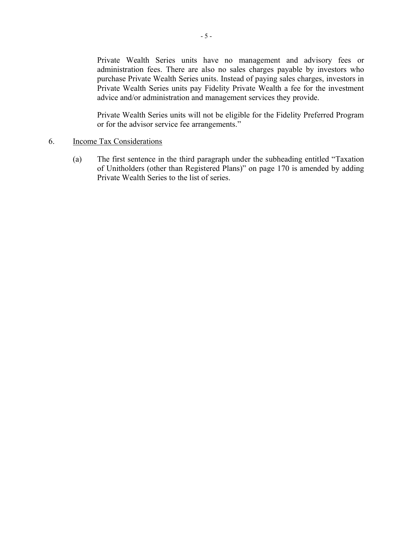Private Wealth Series units have no management and advisory fees or administration fees. There are also no sales charges payable by investors who purchase Private Wealth Series units. Instead of paying sales charges, investors in Private Wealth Series units pay Fidelity Private Wealth a fee for the investment advice and/or administration and management services they provide.

Private Wealth Series units will not be eligible for the Fidelity Preferred Program or for the advisor service fee arrangements."

#### 6. Income Tax Considerations

(a) The first sentence in the third paragraph under the subheading entitled "Taxation of Unitholders (other than Registered Plans)" on page 170 is amended by adding Private Wealth Series to the list of series.